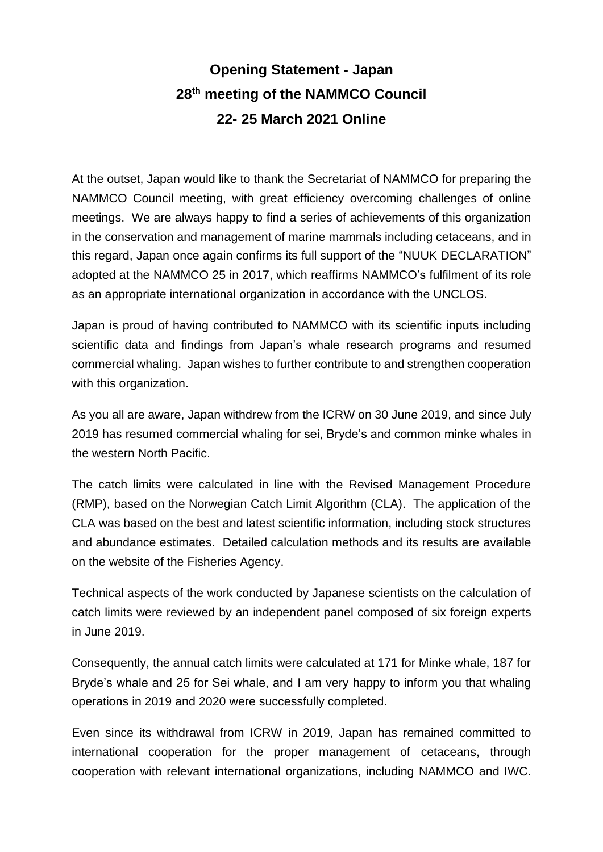## **Opening Statement - Japan 28 th meeting of the NAMMCO Council 22- 25 March 2021 Online**

At the outset, Japan would like to thank the Secretariat of NAMMCO for preparing the NAMMCO Council meeting, with great efficiency overcoming challenges of online meetings. We are always happy to find a series of achievements of this organization in the conservation and management of marine mammals including cetaceans, and in this regard, Japan once again confirms its full support of the "NUUK DECLARATION" adopted at the NAMMCO 25 in 2017, which reaffirms NAMMCO's fulfilment of its role as an appropriate international organization in accordance with the UNCLOS.

Japan is proud of having contributed to NAMMCO with its scientific inputs including scientific data and findings from Japan's whale research programs and resumed commercial whaling. Japan wishes to further contribute to and strengthen cooperation with this organization.

As you all are aware, Japan withdrew from the ICRW on 30 June 2019, and since July 2019 has resumed commercial whaling for sei, Bryde's and common minke whales in the western North Pacific.

The catch limits were calculated in line with the Revised Management Procedure (RMP), based on the Norwegian Catch Limit Algorithm (CLA). The application of the CLA was based on the best and latest scientific information, including stock structures and abundance estimates. Detailed calculation methods and its results are available on the website of the Fisheries Agency.

Technical aspects of the work conducted by Japanese scientists on the calculation of catch limits were reviewed by an independent panel composed of six foreign experts in June 2019.

Consequently, the annual catch limits were calculated at 171 for Minke whale, 187 for Bryde's whale and 25 for Sei whale, and I am very happy to inform you that whaling operations in 2019 and 2020 were successfully completed.

Even since its withdrawal from ICRW in 2019, Japan has remained committed to international cooperation for the proper management of cetaceans, through cooperation with relevant international organizations, including NAMMCO and IWC.